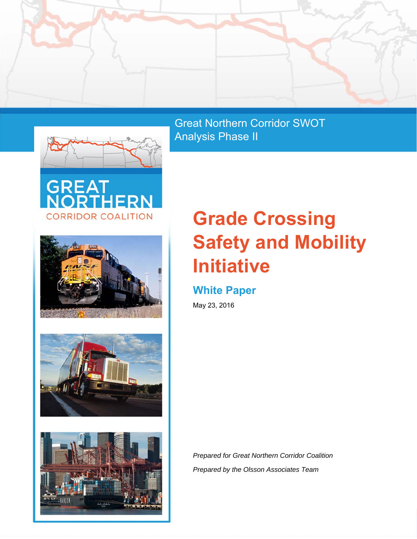



Great Northern Corridor SWOT Analysis Phase II









# **Grade Crossing Safety and Mobility Initiative**

# **White Paper**

May 23, 2016

*Prepared for Great Northern Corridor Coalition Prepared by the Olsson Associates Team*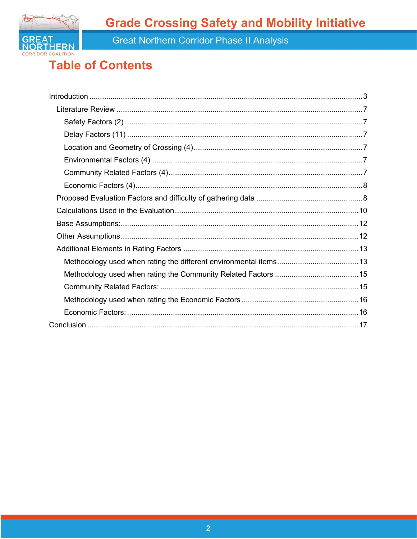**Grade Crossing Safety and Mobility Initiative** 



Great Northern Corridor Phase II Analysis

# **Table of Contents**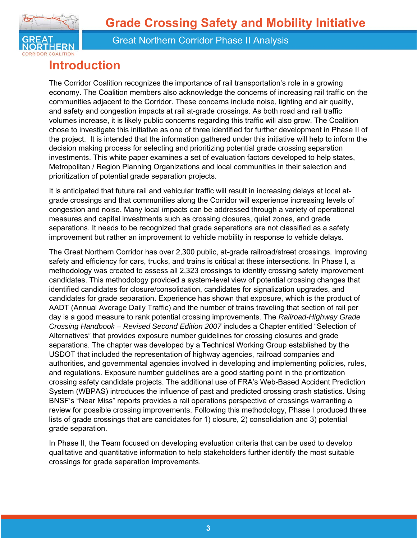

# **Introduction**

The Corridor Coalition recognizes the importance of rail transportation's role in a growing economy. The Coalition members also acknowledge the concerns of increasing rail traffic on the communities adjacent to the Corridor. These concerns include noise, lighting and air quality, and safety and congestion impacts at rail at-grade crossings. As both road and rail traffic volumes increase, it is likely public concerns regarding this traffic will also grow. The Coalition chose to investigate this initiative as one of three identified for further development in Phase II of the project. It is intended that the information gathered under this initiative will help to inform the decision making process for selecting and prioritizing potential grade crossing separation investments. This white paper examines a set of evaluation factors developed to help states, Metropolitan / Region Planning Organizations and local communities in their selection and prioritization of potential grade separation projects.

It is anticipated that future rail and vehicular traffic will result in increasing delays at local atgrade crossings and that communities along the Corridor will experience increasing levels of congestion and noise. Many local impacts can be addressed through a variety of operational measures and capital investments such as crossing closures, quiet zones, and grade separations. It needs to be recognized that grade separations are not classified as a safety improvement but rather an improvement to vehicle mobility in response to vehicle delays.

The Great Northern Corridor has over 2,300 public, at-grade railroad/street crossings. Improving safety and efficiency for cars, trucks, and trains is critical at these intersections. In Phase I, a methodology was created to assess all 2,323 crossings to identify crossing safety improvement candidates. This methodology provided a system-level view of potential crossing changes that identified candidates for closure/consolidation, candidates for signalization upgrades, and candidates for grade separation. Experience has shown that exposure, which is the product of AADT (Annual Average Daily Traffic) and the number of trains traveling that section of rail per day is a good measure to rank potential crossing improvements. The *Railroad-Highway Grade Crossing Handbook – Revised Second Edition 2007* includes a Chapter entitled "Selection of Alternatives" that provides exposure number guidelines for crossing closures and grade separations. The chapter was developed by a Technical Working Group established by the USDOT that included the representation of highway agencies, railroad companies and authorities, and governmental agencies involved in developing and implementing policies, rules, and regulations. Exposure number guidelines are a good starting point in the prioritization crossing safety candidate projects. The additional use of FRA's Web-Based Accident Prediction System (WBPAS) introduces the influence of past and predicted crossing crash statistics. Using BNSF's "Near Miss" reports provides a rail operations perspective of crossings warranting a review for possible crossing improvements. Following this methodology, Phase I produced three lists of grade crossings that are candidates for 1) closure, 2) consolidation and 3) potential grade separation.

In Phase II, the Team focused on developing evaluation criteria that can be used to develop qualitative and quantitative information to help stakeholders further identify the most suitable crossings for grade separation improvements.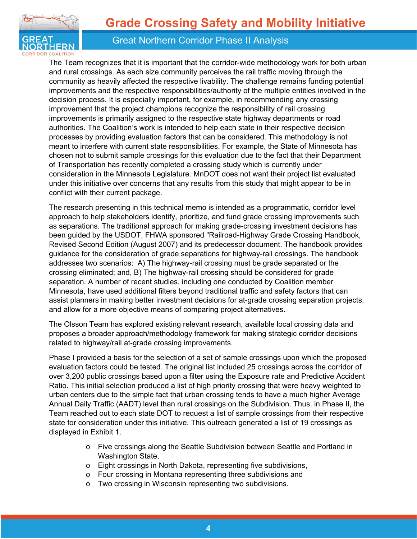

The Team recognizes that it is important that the corridor-wide methodology work for both urban and rural crossings. As each size community perceives the rail traffic moving through the community as heavily affected the respective livability. The challenge remains funding potential improvements and the respective responsibilities/authority of the multiple entities involved in the decision process. It is especially important, for example, in recommending any crossing improvement that the project champions recognize the responsibility of rail crossing improvements is primarily assigned to the respective state highway departments or road authorities. The Coalition's work is intended to help each state in their respective decision processes by providing evaluation factors that can be considered. This methodology is not meant to interfere with current state responsibilities. For example, the State of Minnesota has chosen not to submit sample crossings for this evaluation due to the fact that their Department of Transportation has recently completed a crossing study which is currently under consideration in the Minnesota Legislature. MnDOT does not want their project list evaluated under this initiative over concerns that any results from this study that might appear to be in conflict with their current package.

The research presenting in this technical memo is intended as a programmatic, corridor level approach to help stakeholders identify, prioritize, and fund grade crossing improvements such as separations. The traditional approach for making grade-crossing investment decisions has been guided by the USDOT, FHWA sponsored "Railroad-Highway Grade Crossing Handbook, Revised Second Edition (August 2007) and its predecessor document. The handbook provides guidance for the consideration of grade separations for highway-rail crossings. The handbook addresses two scenarios: A) The highway-rail crossing must be grade separated or the crossing eliminated; and, B) The highway-rail crossing should be considered for grade separation. A number of recent studies, including one conducted by Coalition member Minnesota, have used additional filters beyond traditional traffic and safety factors that can assist planners in making better investment decisions for at-grade crossing separation projects, and allow for a more objective means of comparing project alternatives.

The Olsson Team has explored existing relevant research, available local crossing data and proposes a broader approach/methodology framework for making strategic corridor decisions related to highway/rail at-grade crossing improvements.

Phase I provided a basis for the selection of a set of sample crossings upon which the proposed evaluation factors could be tested. The original list included 25 crossings across the corridor of over 3,200 public crossings based upon a filter using the Exposure rate and Predictive Accident Ratio. This initial selection produced a list of high priority crossing that were heavy weighted to urban centers due to the simple fact that urban crossing tends to have a much higher Average Annual Daily Traffic (AADT) level than rural crossings on the Subdivision. Thus, in Phase II, the Team reached out to each state DOT to request a list of sample crossings from their respective state for consideration under this initiative. This outreach generated a list of 19 crossings as displayed in Exhibit 1.

- o Five crossings along the Seattle Subdivision between Seattle and Portland in Washington State,
- o Eight crossings in North Dakota, representing five subdivisions,
- o Four crossing in Montana representing three subdivisions and
- o Two crossing in Wisconsin representing two subdivisions.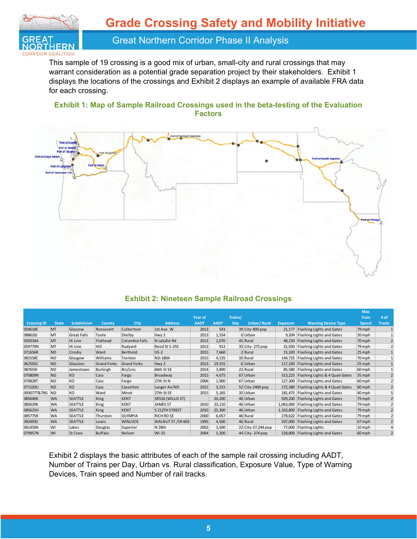

This sample of 19 crossing is a good mix of urban, small-city and rural crossings that may warrant consideration as a potential grade separation project by their stakeholders. Exhibit 1 displays the locations of the crossings and Exhibit 2 displays an example of available FRA data for each crossing.

#### **Exhibit 1: Map of Sample Railroad Crossings used in the beta-testing of the Evaluation Factors**



#### **Exhibit 2: Nineteen Sample Railroad Crossings**

|                    |              |                    |                    |                    |                   |             |             |         |                     |                 |                                  | <b>Max</b>   |                         |
|--------------------|--------------|--------------------|--------------------|--------------------|-------------------|-------------|-------------|---------|---------------------|-----------------|----------------------------------|--------------|-------------------------|
|                    |              |                    |                    |                    |                   | Year of     |             | Trains/ |                     |                 |                                  | <b>Train</b> | # of                    |
| <b>Crossing ID</b> | <b>State</b> | <b>Subdivision</b> | County             | City               | <b>Address</b>    | <b>AADT</b> | <b>AADT</b> | Day     | <b>Urban/Rural</b>  | <b>Exposure</b> | <b>Warning Device Type</b>       | <b>Speed</b> | <b>Tracks</b>           |
| 059618E            | MT           | Glascow            | Roosevelt          | Culbertson         | 1st Ave. W        | 2013        | 543         |         | 39 City-800 pop     | 21,177          | Flashing Lights and Gates        | 79 mph       |                         |
| 088620J            | MT           | <b>Great Falls</b> | Toole              | Shelby             | Hwy 2             | 2013        | 1,534       |         | 6Urban              | 9,204           | Flashing Lights and Gates        | 20 mph       |                         |
| 059334A            | MT           | Hi Line            | Flathead           | Columbia Falls     | N LaSalle Rd      | 2013        | 1,070       |         | 45 Rural            | 48,150          | Flashing Lights and Gates        | 70 mph       | $\overline{2}$          |
| 059770N            | MT           | Hi Line            | Hill               | Rudyard            | Reed St S-255     | 2013        | 912         |         | 35 City-275 pop     | 31,920          | Flashing Lights and Gates        | 79 mph       | $\overline{2}$          |
| 071656R            | <b>ND</b>    | Crosby             | Ward               | Berthold           | $US-2$            | 2015        | 7,660       |         | 2 Rural             | 15,320          | Flashing Lights and Gates        | 25 mph       |                         |
| 081558C            | <b>ND</b>    | Glasgow            | Williams           | Trenton            | ND-1804           | 2015        | 4,135       |         | 35 Rural            | 144,725         | Flashing Lights and Gates        | 70 mph       |                         |
| 062505C            | <b>ND</b>    | Glasston           | <b>Grand Forks</b> | <b>Grand Forks</b> | Hwy 2             | 2013        | 19,555      |         | 6Urban              | 117,330         | Flashing Lights and Gates        | 25 mph       |                         |
| 087659J            | <b>ND</b>    | Jamestown          | Burleigh           | Bis/Linc           | 66th St SE        | 2014        | 3,890       |         | 22 Rural            | 85,580          | Flashing Lights and Gates        | 60 mph       |                         |
| 070809N            | <b>ND</b>    | <b>KO</b>          | Cass               | Fargo              | Broadway          | 2015        | 4,675       |         | 67 Urban            | 313,225         | Flashing Lights & 4 Quad Gates   | 35 mph       |                         |
| 070828T            | <b>ND</b>    | KO                 | Cass               | Fargo              | 27th St N         | 2006        | 1,900       |         | 67 Urban            | 127,300         | Flashing Lights and Gates        | 60 mph       |                         |
| 071103U            | <b>ND</b>    | KO                 | Cass               | Casselton          | Langer Av/ND      | 2015        | 3,315       |         | 52 City-2400 pop    | 172,380         | Flashing Lights & 4 Quad Gates   | 60 mph       |                         |
| 093077T&79G        | <b>ND</b>    | KO                 | Ward               | Minot              | 27th St SE        | 2015        | 5,185       |         | 35 Urban            | 181,475         | Flashing Lights and Gates        | 40 mph       | 5                       |
| 085640K            | <b>WA</b>    | <b>SEATTLE</b>     | King               | <b>KENT</b>        | SR516 (WILLIS ST) |             | 20,200      |         | 46 Urban            | 929,200         | <b>Flashing Lights and Gates</b> | 79 mph       |                         |
| 085629K            | <b>WA</b>    | <b>SEATTLE</b>     | King               | KENT               | <b>JAMES ST</b>   | 2010        | 23,110      |         | 46 Urban            | 1,063,060       | Flashing Lights and Gates        | 79 mph       |                         |
| 085625H            | <b>WA</b>    | <b>SEATTLE</b>     | King               | <b>KENT</b>        | S 212TH STREET    | 2010        | 25,300      |         | 46 Urban            | 1,163,800       | Flashing Lights and Gates        | 79 mph       | $\overline{\mathbf{c}}$ |
| 085775R            | <b>WA</b>    | SEATTLE            | Thurston           | <b>OLYMPIA</b>     | <b>RICH RD SE</b> | 2000        | 6,057       |         | 46 Rural            | 278,622         | Flashing Lights and Gates        | 79 mph       |                         |
| 092493S            | <b>WA</b>    | <b>SEATTLE</b>     | Lewis              | <b>WINLOCK</b>     | WALNUT ST./SR 603 | 1995        | 4,500       |         | 46 Rural            | 207,000         | Flashing Lights and Gates        | 67 mph       |                         |
| 061459A            | WI           | Lakes              | Douglas            | Superior           | N 28th            | 2002        | 3,500       |         | 22 City-27, 244 pop | 77,000          | Flashing Lights                  | 10 mph       | 4                       |
| 079957N            | WI           | <b>St Croix</b>    | <b>Buffalo</b>     | Nelson             | $WI-25$           | 2004        | 5,200       |         | 44 City-374 pop     | 228,800         | Flashing Lights and Gates        | 60 mph       |                         |

Exhibit 2 displays the basic attributes of each of the sample rail crossing including AADT, Number of Trains per Day, Urban vs. Rural classification, Exposure Value, Type of Warning Devices, Train speed and Number of rail tracks.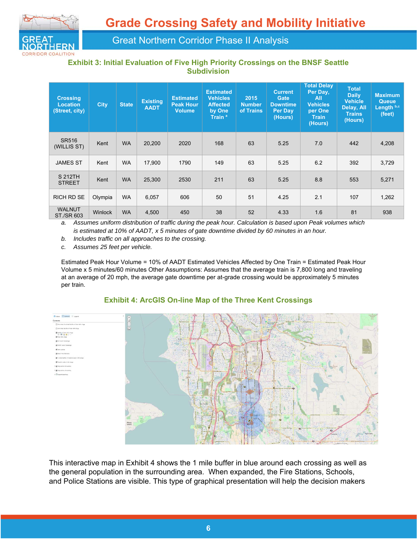

#### **Exhibit 3: Initial Evaluation of Five High Priority Crossings on the BNSF Seattle Subdivision**

| <b>Crossing</b><br><b>Location</b><br>(Street, city) | <b>City</b> | <b>State</b> | <b>Existing</b><br><b>AADT</b> | <b>Estimated</b><br><b>Peak Hour</b><br><b>Volume</b> | <b>Estimated</b><br><b>Vehicles</b><br><b>Affected</b><br>by One<br>Train <sup>a</sup> | 2015<br><b>Number</b><br>of Trains | <b>Current</b><br>Gate<br><b>Downtime</b><br><b>Per Day</b><br>(Hours) | <b>Total Delay</b><br>Per Day,<br>All<br><b>Vehicles</b><br>per One<br><b>Train</b><br>(Hours) | <b>Total</b><br><b>Daily</b><br><b>Vehicle</b><br>Delay, All<br><b>Trains</b><br>(Hours) | <b>Maximum</b><br><b>Queue</b><br>Length b,c<br>(feet) |
|------------------------------------------------------|-------------|--------------|--------------------------------|-------------------------------------------------------|----------------------------------------------------------------------------------------|------------------------------------|------------------------------------------------------------------------|------------------------------------------------------------------------------------------------|------------------------------------------------------------------------------------------|--------------------------------------------------------|
| SR516<br>(WILLIS ST)                                 | Kent        | <b>WA</b>    | 20,200                         | 2020                                                  | 168                                                                                    | 63                                 | 5.25                                                                   | 7.0                                                                                            | 442                                                                                      | 4,208                                                  |
| <b>JAMES ST</b>                                      | Kent        | <b>WA</b>    | 17,900                         | 1790                                                  | 149                                                                                    | 63                                 | 5.25                                                                   | 6.2                                                                                            | 392                                                                                      | 3,729                                                  |
| S 212TH<br><b>STREET</b>                             | Kent        | <b>WA</b>    | 25,300                         | 2530                                                  | 211                                                                                    | 63                                 | 5.25                                                                   | 8.8                                                                                            | 553                                                                                      | 5,271                                                  |
| <b>RICH RD SE</b>                                    | Olympia     | <b>WA</b>    | 6,057                          | 606                                                   | 50                                                                                     | 51                                 | 4.25                                                                   | 2.1                                                                                            | 107                                                                                      | 1,262                                                  |
| <b>WALNUT</b><br>ST./SR 603                          | Winlock     | <b>WA</b>    | 4,500                          | 450                                                   | 38                                                                                     | 52                                 | 4.33                                                                   | 1.6                                                                                            | 81                                                                                       | 938                                                    |

*a. Assumes uniform distribution of traffic during the peak hour. Calculation is based upon Peak volumes which is estimated at 10% of AADT, x 5 minutes of gate downtime divided by 60 minutes in an hour.* 

*b. Includes traffic on all approaches to the crossing.* 

*c. Assumes 25 feet per vehicle.* 

Estimated Peak Hour Volume = 10% of AADT Estimated Vehicles Affected by One Train = Estimated Peak Hour Volume x 5 minutes/60 minutes Other Assumptions: Assumes that the average train is 7,800 long and traveling at an average of 20 mph, the average gate downtime per at-grade crossing would be approximately 5 minutes per train.



#### **Exhibit 4: ArcGIS On-line Map of the Three Kent Crossings**

This interactive map in Exhibit 4 shows the 1 mile buffer in blue around each crossing as well as the general population in the surrounding area. When expanded, the Fire Stations, Schools, and Police Stations are visible. This type of graphical presentation will help the decision makers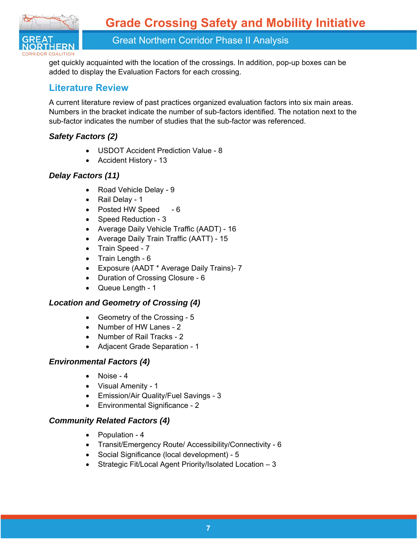

get quickly acquainted with the location of the crossings. In addition, pop-up boxes can be added to display the Evaluation Factors for each crossing.

### **Literature Review**

A current literature review of past practices organized evaluation factors into six main areas. Numbers in the bracket indicate the number of sub-factors identified. The notation next to the sub-factor indicates the number of studies that the sub-factor was referenced.

### *Safety Factors (2)*

- USDOT Accident Prediction Value 8
- Accident History 13

### *Delay Factors (11)*

- Road Vehicle Delay 9
- Rail Delay 1
- Posted HW Speed 6
- Speed Reduction 3
- Average Daily Vehicle Traffic (AADT) 16
- Average Daily Train Traffic (AATT) 15
- Train Speed 7
- $\bullet$  Train Length  $6$
- Exposure (AADT \* Average Daily Trains)- 7
- Duration of Crossing Closure 6
- Queue Length 1

### *Location and Geometry of Crossing (4)*

- Geometry of the Crossing 5
- Number of HW Lanes 2
- Number of Rail Tracks 2
- Adjacent Grade Separation 1

### *Environmental Factors (4)*

- Noise 4
- Visual Amenity 1
- Emission/Air Quality/Fuel Savings 3
- Environmental Significance 2

### *Community Related Factors (4)*

- Population 4
- Transit/Emergency Route/ Accessibility/Connectivity 6
- Social Significance (local development) 5
- Strategic Fit/Local Agent Priority/Isolated Location 3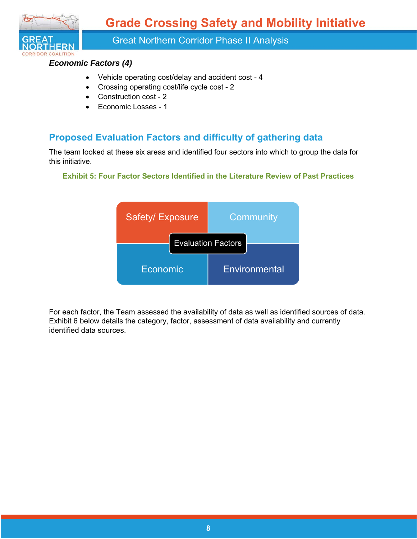**Grade Crossing Safety and Mobility Initiative** 



Great Northern Corridor Phase II Analysis

### *Economic Factors (4)*

- Vehicle operating cost/delay and accident cost 4
- Crossing operating cost/life cycle cost 2
- Construction cost 2
- Economic Losses 1

### **Proposed Evaluation Factors and difficulty of gathering data**

The team looked at these six areas and identified four sectors into which to group the data for this initiative.

#### **Exhibit 5: Four Factor Sectors Identified in the Literature Review of Past Practices**



For each factor, the Team assessed the availability of data as well as identified sources of data. Exhibit 6 below details the category, factor, assessment of data availability and currently identified data sources.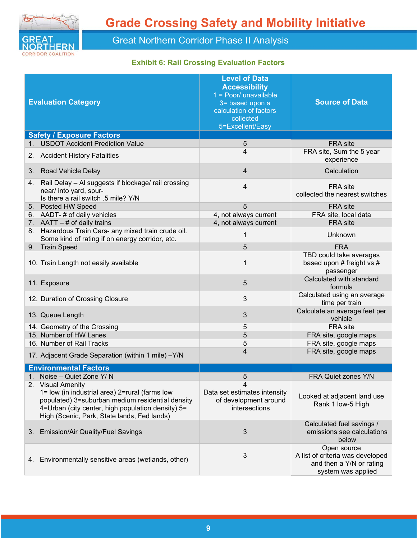

### **Exhibit 6: Rail Crossing Evaluation Factors**

| <b>Evaluation Category</b>                                                                                                                                                                                                  | <b>Level of Data</b><br><b>Accessibility</b><br>$1 = Poor/$ unavailable<br>3= based upon a<br>calculation of factors<br>collected<br>5=Excellent/Easy | <b>Source of Data</b>                                                                             |
|-----------------------------------------------------------------------------------------------------------------------------------------------------------------------------------------------------------------------------|-------------------------------------------------------------------------------------------------------------------------------------------------------|---------------------------------------------------------------------------------------------------|
| <b>Safety / Exposure Factors</b>                                                                                                                                                                                            |                                                                                                                                                       |                                                                                                   |
| <b>USDOT Accident Prediction Value</b><br>1.                                                                                                                                                                                | 5                                                                                                                                                     | FRA site                                                                                          |
| <b>Accident History Fatalities</b><br>2.                                                                                                                                                                                    | 4                                                                                                                                                     | FRA site, Sum the 5 year<br>experience                                                            |
| 3.<br><b>Road Vehicle Delay</b>                                                                                                                                                                                             | 4                                                                                                                                                     | Calculation                                                                                       |
| Rail Delay - Al suggests if blockage/ rail crossing<br>4.<br>near/ into yard, spur-<br>Is there a rail switch .5 mile? Y/N                                                                                                  | 4                                                                                                                                                     | FRA site<br>collected the nearest switches                                                        |
| 5. Posted HW Speed                                                                                                                                                                                                          | 5                                                                                                                                                     | <b>FRA</b> site                                                                                   |
| 6. AADT-# of daily vehicles                                                                                                                                                                                                 | 4, not always current                                                                                                                                 | FRA site, local data                                                                              |
| 7. $AATT - #$ of daily trains                                                                                                                                                                                               | 4, not always current                                                                                                                                 | FRA site                                                                                          |
| 8. Hazardous Train Cars- any mixed train crude oil.<br>Some kind of rating if on energy corridor, etc.                                                                                                                      | 1                                                                                                                                                     | Unknown                                                                                           |
| 9. Train Speed                                                                                                                                                                                                              | 5                                                                                                                                                     | <b>FRA</b>                                                                                        |
| 10. Train Length not easily available                                                                                                                                                                                       | 1                                                                                                                                                     | TBD could take averages<br>based upon # freight vs #<br>passenger                                 |
| 11. Exposure                                                                                                                                                                                                                | 5                                                                                                                                                     | Calculated with standard<br>formula                                                               |
| 12. Duration of Crossing Closure                                                                                                                                                                                            | 3                                                                                                                                                     | Calculated using an average<br>time per train                                                     |
| 13. Queue Length                                                                                                                                                                                                            | 3                                                                                                                                                     | Calculate an average feet per<br>vehicle                                                          |
| 14. Geometry of the Crossing                                                                                                                                                                                                | 5                                                                                                                                                     | FRA site                                                                                          |
| 15. Number of HW Lanes                                                                                                                                                                                                      | 5                                                                                                                                                     | FRA site, google maps                                                                             |
| 16. Number of Rail Tracks                                                                                                                                                                                                   | 5                                                                                                                                                     | FRA site, google maps                                                                             |
| 17. Adjacent Grade Separation (within 1 mile) -Y/N                                                                                                                                                                          | 4                                                                                                                                                     | FRA site, google maps                                                                             |
| <b>Environmental Factors</b>                                                                                                                                                                                                |                                                                                                                                                       |                                                                                                   |
| Noise - Quiet Zone Y/N                                                                                                                                                                                                      | 5                                                                                                                                                     | FRA Quiet zones Y/N                                                                               |
| 2. Visual Amenity<br>1= low (in industrial area) 2=rural (farms low<br>populated) 3=suburban medium residential density<br>4=Urban (city center, high population density) 5=<br>High (Scenic, Park, State lands, Fed lands) | 4<br>Data set estimates intensity<br>of development around<br>intersections                                                                           | Looked at adjacent land use<br>Rank 1 low-5 High                                                  |
| 3. Emission/Air Quality/Fuel Savings                                                                                                                                                                                        | 3                                                                                                                                                     | Calculated fuel savings /<br>emissions see calculations<br>below                                  |
| Environmentally sensitive areas (wetlands, other)<br>4.                                                                                                                                                                     | 3                                                                                                                                                     | Open source<br>A list of criteria was developed<br>and then a Y/N or rating<br>system was applied |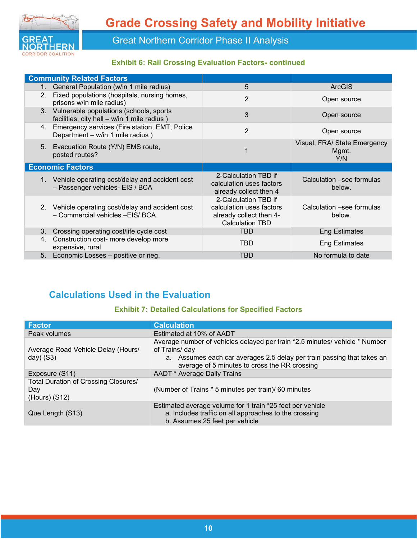

### **Exhibit 6: Rail Crossing Evaluation Factors- continued**

|                | <b>Community Related Factors</b>                                                          |                                                                                                       |                                              |
|----------------|-------------------------------------------------------------------------------------------|-------------------------------------------------------------------------------------------------------|----------------------------------------------|
| $1_{-}$        | General Population (w/in 1 mile radius)                                                   | 5                                                                                                     | <b>ArcGIS</b>                                |
| 2 <sub>1</sub> | Fixed populations (hospitals, nursing homes,<br>prisons w/in mile radius)                 | $\overline{2}$                                                                                        | Open source                                  |
|                | 3. Vulnerable populations (schools, sports<br>facilities, city hall - w/in 1 mile radius) | 3                                                                                                     | Open source                                  |
|                | 4. Emergency services (Fire station, EMT, Police<br>Department - w/in 1 mile radius)      | $\overline{2}$                                                                                        | Open source                                  |
|                | 5. Evacuation Route (Y/N) EMS route,<br>posted routes?                                    |                                                                                                       | Visual, FRA/ State Emergency<br>Mgmt.<br>Y/N |
|                | <b>Economic Factors</b>                                                                   |                                                                                                       |                                              |
|                | 1. Vehicle operating cost/delay and accident cost<br>- Passenger vehicles- EIS / BCA      | 2-Calculation TBD if<br>calculation uses factors<br>already collect then 4                            | Calculation -see formulas<br>below.          |
|                | 2. Vehicle operating cost/delay and accident cost<br>- Commercial vehicles -EIS/ BCA      | 2-Calculation TBD if<br>calculation uses factors<br>already collect then 4-<br><b>Calculation TBD</b> | Calculation –see formulas<br>below.          |
| 3.             | Crossing operating cost/life cycle cost                                                   | <b>TBD</b>                                                                                            | <b>Eng Estimates</b>                         |
| 4.             | Construction cost- more develop more<br>expensive, rural                                  | TBD                                                                                                   | <b>Eng Estimates</b>                         |
| 5.             | Economic Losses - positive or neg.                                                        | <b>TBD</b>                                                                                            | No formula to date                           |

### **Calculations Used in the Evaluation**

#### **Exhibit 7: Detailed Calculations for Specified Factors**

| <b>Factor</b>                                                    | <b>Calculation</b>                                                                                                                                                                                                       |
|------------------------------------------------------------------|--------------------------------------------------------------------------------------------------------------------------------------------------------------------------------------------------------------------------|
| Peak volumes                                                     | Estimated at 10% of AADT                                                                                                                                                                                                 |
| Average Road Vehicle Delay (Hours/<br>$day)$ (S3)                | Average number of vehicles delayed per train *2.5 minutes/ vehicle * Number<br>of Trains/ day<br>a. Assumes each car averages 2.5 delay per train passing that takes an<br>average of 5 minutes to cross the RR crossing |
| Exposure (S11)                                                   | AADT * Average Daily Trains                                                                                                                                                                                              |
| Total Duration of Crossing Closures/<br>Day<br>$(Hours)$ $(S12)$ | (Number of Trains * 5 minutes per train)/ 60 minutes                                                                                                                                                                     |
| Que Length (S13)                                                 | Estimated average volume for 1 train *25 feet per vehicle<br>a. Includes traffic on all approaches to the crossing<br>b. Assumes 25 feet per vehicle                                                                     |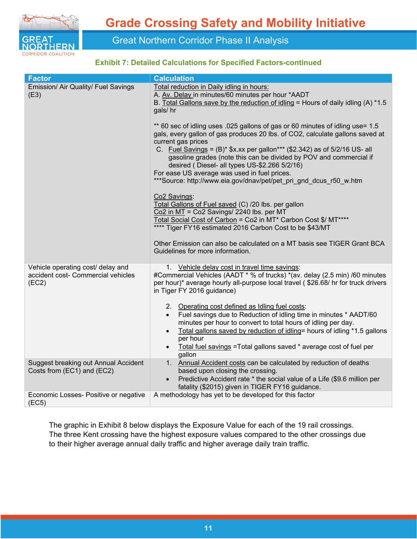

#### **Exhibit 7: Detailed Calculations for Specified Factors-continued**

| <b>Factor</b>                                                                    | <b>Calculation</b>                                                                                                                                                                                                                                                                                                                                                                                                                                                                                                |
|----------------------------------------------------------------------------------|-------------------------------------------------------------------------------------------------------------------------------------------------------------------------------------------------------------------------------------------------------------------------------------------------------------------------------------------------------------------------------------------------------------------------------------------------------------------------------------------------------------------|
| Emission/ Air Quality/ Fuel Savings<br>(E3)                                      | Total reduction in Daily idling in hours:<br>A. Av. Delay in minutes/60 minutes per hour *AADT<br>B. Total Gallons save by the reduction of idling = Hours of daily idling (A) $*1.5$<br>gals/hr                                                                                                                                                                                                                                                                                                                  |
|                                                                                  | ** 60 sec of idling uses .025 gallons of gas or 60 minutes of idling use= 1.5<br>gals, every gallon of gas produces 20 lbs. of CO2, calculate gallons saved at<br>current gas prices<br>C. Fuel Savings = $(B)^*$ \$x.xx per gallon*** (\$2.342) as of 5/2/16 US- all<br>gasoline grades (note this can be divided by POV and commercial if<br>desired (Diesel- all types US-\$2.266 5/2/16)<br>For ease US average was used in fuel prices.<br>***Source: http://www.eia.gov/dnav/pet/pet pri gnd dcus r50 w.htm |
|                                                                                  | Co2 Savings:<br>Total Gallons of Fuel saved (C) /20 lbs. per gallon<br>Co2 in MT = Co2 Savings/ 2240 lbs. per MT<br>Total Social Cost of Carbon = Co2 in MT* Carbon Cost \$/ MT****<br>**** Tiger FY16 estimated 2016 Carbon Cost to be \$43/MT                                                                                                                                                                                                                                                                   |
|                                                                                  | Other Emission can also be calculated on a MT basis see TIGER Grant BCA<br>Guidelines for more information.                                                                                                                                                                                                                                                                                                                                                                                                       |
| Vehicle operating cost/ delay and<br>accident cost- Commercial vehicles<br>(EC2) | 1. Vehicle delay cost in travel time savings:<br>#Commercial Vehicles (AADT * % of trucks) *(av. delay (2.5 min) /60 minutes<br>per hour)* average hourly all-purpose local travel (\$26.68/ hr for truck drivers<br>in Tiger FY 2016 guidance)                                                                                                                                                                                                                                                                   |
|                                                                                  | 2. Operating cost defined as Idling fuel costs:<br>• Fuel savings due to Reduction of idling time in minutes * AADT/60<br>minutes per hour to convert to total hours of idling per day.<br>Total gallons saved by reduction of idling= hours of idling *1.5 gallons<br>per hour<br>Total fuel savings = Total gallons saved * average cost of fuel per<br>gallon                                                                                                                                                  |
| Suggest breaking out Annual Accident<br>Costs from (EC1) and (EC2)               | 1. Annual Accident costs can be calculated by reduction of deaths<br>based upon closing the crossing.<br>Predictive Accident rate * the social value of a Life (\$9.6 million per<br>fatality (\$2015) given in TIGER FY16 guidance.                                                                                                                                                                                                                                                                              |
| Economic Losses- Positive or negative<br>(EC5)                                   | A methodology has yet to be developed for this factor                                                                                                                                                                                                                                                                                                                                                                                                                                                             |

The graphic in Exhibit 8 below displays the Exposure Value for each of the 19 rail crossings. The three Kent crossing have the highest exposure values compared to the other crossings due to their higher average annual daily traffic and higher average daily train traffic.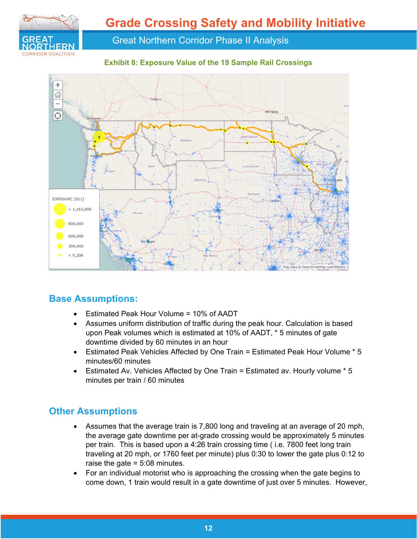

**Exhibit 8: Exposure Value of the 19 Sample Rail Crossings** 



### **Base Assumptions:**

- Estimated Peak Hour Volume = 10% of AADT
- Assumes uniform distribution of traffic during the peak hour. Calculation is based upon Peak volumes which is estimated at 10% of AADT, \* 5 minutes of gate downtime divided by 60 minutes in an hour
- Estimated Peak Vehicles Affected by One Train = Estimated Peak Hour Volume \* 5 minutes/60 minutes
- Estimated Av. Vehicles Affected by One Train = Estimated av. Hourly volume \* 5 minutes per train / 60 minutes

### **Other Assumptions**

- Assumes that the average train is 7,800 long and traveling at an average of 20 mph, the average gate downtime per at-grade crossing would be approximately 5 minutes per train. This is based upon a 4:26 train crossing time ( i.e. 7800 feet long train traveling at 20 mph, or 1760 feet per minute) plus 0:30 to lower the gate plus 0:12 to raise the gate = 5:08 minutes.
- For an individual motorist who is approaching the crossing when the gate begins to come down, 1 train would result in a gate downtime of just over 5 minutes. However,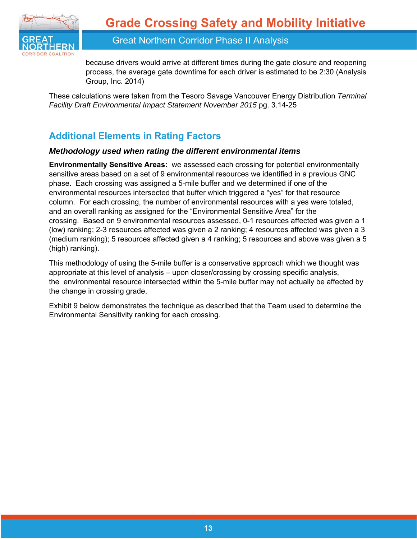

because drivers would arrive at different times during the gate closure and reopening process, the average gate downtime for each driver is estimated to be 2:30 (Analysis Group, Inc. 2014)

These calculations were taken from the Tesoro Savage Vancouver Energy Distribution *Terminal Facility Draft Environmental Impact Statement November 2015* pg. 3.14-25

### **Additional Elements in Rating Factors**

#### *Methodology used when rating the different environmental items*

**Environmentally Sensitive Areas:** we assessed each crossing for potential environmentally sensitive areas based on a set of 9 environmental resources we identified in a previous GNC phase. Each crossing was assigned a 5-mile buffer and we determined if one of the environmental resources intersected that buffer which triggered a "yes" for that resource column. For each crossing, the number of environmental resources with a yes were totaled, and an overall ranking as assigned for the "Environmental Sensitive Area" for the crossing. Based on 9 environmental resources assessed, 0-1 resources affected was given a 1 (low) ranking; 2-3 resources affected was given a 2 ranking; 4 resources affected was given a 3 (medium ranking); 5 resources affected given a 4 ranking; 5 resources and above was given a 5 (high) ranking).

This methodology of using the 5-mile buffer is a conservative approach which we thought was appropriate at this level of analysis – upon closer/crossing by crossing specific analysis, the environmental resource intersected within the 5-mile buffer may not actually be affected by the change in crossing grade.

Exhibit 9 below demonstrates the technique as described that the Team used to determine the Environmental Sensitivity ranking for each crossing.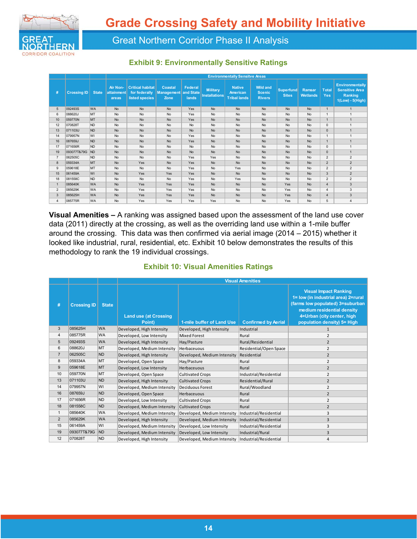

#### **Exhibit 9: Environmentally Sensitive Ratings**

|                |                    |                | <b>Environmentally Sensitve Areas</b> |                                                            |                                             |                                      |                                         |                                                  |                                                   |                                  |                                  |                     |                                                                                |  |  |
|----------------|--------------------|----------------|---------------------------------------|------------------------------------------------------------|---------------------------------------------|--------------------------------------|-----------------------------------------|--------------------------------------------------|---------------------------------------------------|----------------------------------|----------------------------------|---------------------|--------------------------------------------------------------------------------|--|--|
| #              | <b>Crossing ID</b> | <b>State</b>   | Air Non-<br>attainment<br>areas       | <b>Critical habitat</b><br>for federally<br>listed species | <b>Coastal</b><br><b>Management</b><br>Zone | <b>Federal</b><br>and State<br>lands | <b>Military</b><br><b>Installations</b> | <b>Native</b><br>American<br><b>Tribal lands</b> | <b>Wild and</b><br><b>Scenic</b><br><b>Rivers</b> | <b>Superfund</b><br><b>Sites</b> | <b>Ramsar</b><br><b>Wetlands</b> | <b>Total</b><br>Yes | <b>Environmentally</b><br><b>Sensitive Area</b><br>Ranking<br>1(Low) - 5(High) |  |  |
| 5              | 092493S            | <b>WA</b>      | <b>No</b>                             | <b>No</b>                                                  | <b>No</b>                                   | Yes                                  | <b>No</b>                               | <b>No</b>                                        | <b>No</b>                                         | <b>No</b>                        | <b>No</b>                        | $\overline{1}$      | $\overline{1}$                                                                 |  |  |
| 6              | 088620J            | MT             | No                                    | No                                                         | No                                          | Yes                                  | <b>No</b>                               | <b>No</b>                                        | No                                                | No                               | <b>No</b>                        | $\overline{1}$      | 1                                                                              |  |  |
| 10             | 059770N            | MT             | <b>No</b>                             | <b>No</b>                                                  | <b>No</b>                                   | Yes                                  | <b>No</b>                               | <b>No</b>                                        | <b>No</b>                                         | <b>No</b>                        | <b>No</b>                        | $\overline{1}$      | 1                                                                              |  |  |
| 12             | 070828T            | <b>ND</b>      | No                                    | No                                                         | No                                          | <b>No</b>                            | No                                      | No                                               | <b>No</b>                                         | <b>No</b>                        | <b>No</b>                        | $\Omega$            | $\overline{1}$                                                                 |  |  |
| 13             | 071103U            | <b>ND</b>      | <b>No</b>                             | <b>No</b>                                                  | <b>No</b>                                   | <b>No</b>                            | <b>No</b>                               | <b>No</b>                                        | <b>No</b>                                         | <b>No</b>                        | <b>No</b>                        | $\mathbf{0}$        | $\overline{1}$                                                                 |  |  |
| 14             | 079957N            | WI             | <b>No</b>                             | <b>No</b>                                                  | <b>No</b>                                   | Yes                                  | <b>No</b>                               | <b>No</b>                                        | No                                                | <b>No</b>                        | <b>No</b>                        | $\mathbf{1}$        | 1                                                                              |  |  |
| 16             | 087659J            | <b>ND</b>      | <b>No</b>                             | <b>No</b>                                                  | <b>No</b>                                   | Yes                                  | No                                      | <b>No</b>                                        | <b>No</b>                                         | <b>No</b>                        | <b>No</b>                        | $\overline{1}$      | $\overline{1}$                                                                 |  |  |
| 17             | 071656R            | <b>ND</b>      | <b>No</b>                             | <b>No</b>                                                  | <b>No</b>                                   | <b>No</b>                            | No                                      | <b>No</b>                                        | No                                                | <b>No</b>                        | <b>No</b>                        | $\mathbf 0$         | $\overline{1}$                                                                 |  |  |
| 19             | 093077T&79G        | <b>ND</b>      | <b>No</b>                             | <b>No</b>                                                  | <b>No</b>                                   | <b>No</b>                            | <b>No</b>                               | <b>No</b>                                        | <b>No</b>                                         | <b>No</b>                        | <b>No</b>                        | $\mathbf 0$         | $\overline{1}$                                                                 |  |  |
| $\overline{7}$ | 062505C            | <b>ND</b>      | <b>No</b>                             | <b>No</b>                                                  | <b>No</b>                                   | Yes                                  | Yes                                     | No                                               | No                                                | <b>No</b>                        | <b>No</b>                        | $\overline{2}$      | $\overline{2}$                                                                 |  |  |
| 8              | 059334A            | <b>MT</b>      | <b>No</b>                             | Yes                                                        | <b>No</b>                                   | Yes                                  | <b>No</b>                               | <b>No</b>                                        | <b>No</b>                                         | <b>No</b>                        | <b>No</b>                        | $\overline{2}$      | $\overline{2}$                                                                 |  |  |
| 9              | 059618E            | MT             | <b>No</b>                             | <b>No</b>                                                  | <b>No</b>                                   | Yes                                  | <b>No</b>                               | Yes                                              | No                                                | <b>No</b>                        | <b>No</b>                        | $\overline{2}$      | $\overline{2}$                                                                 |  |  |
| 15             | 061459A            | WI             | <b>No</b>                             | Yes                                                        | Yes                                         | Yes                                  | <b>No</b>                               | <b>No</b>                                        | <b>No</b>                                         | <b>No</b>                        | <b>No</b>                        | 3                   | $\overline{2}$                                                                 |  |  |
| 18             | 081558C            | N <sub>D</sub> | <b>No</b>                             | No                                                         | <b>No</b>                                   | Yes                                  | <b>No</b>                               | Yes                                              | No                                                | <b>No</b>                        | <b>No</b>                        | $\overline{2}$      | $\overline{2}$                                                                 |  |  |
|                | 085640K            | <b>WA</b>      | <b>No</b>                             | Yes                                                        | Yes                                         | Yes                                  | <b>No</b>                               | <b>No</b>                                        | <b>No</b>                                         | Yes                              | <b>No</b>                        | $\overline{4}$      | 3                                                                              |  |  |
| $\overline{2}$ | 085629K            | <b>WA</b>      | <b>No</b>                             | Yes                                                        | Yes                                         | Yes                                  | No                                      | <b>No</b>                                        | <b>No</b>                                         | Yes                              | <b>No</b>                        | $\overline{4}$      | 3                                                                              |  |  |
| 3              | 085625H            | <b>WA</b>      | <b>No</b>                             | Yes                                                        | Yes                                         | Yes                                  | <b>No</b>                               | <b>No</b>                                        | <b>No</b>                                         | Yes                              | <b>No</b>                        | $\overline{4}$      | 3                                                                              |  |  |
| 4              | 085775R            | <b>WA</b>      | <b>No</b>                             | Yes                                                        | Yes                                         | Yes                                  | Yes                                     | <b>No</b>                                        | <b>No</b>                                         | Yes                              | <b>No</b>                        | 5                   | $\overline{4}$                                                                 |  |  |

**Visual Amenities –** A ranking was assigned based upon the assessment of the land use cover data (2011) directly at the crossing, as well as the overriding land use within a 1-mile buffer around the crossing. This data was then confirmed via aerial image (2014 – 2015) whether it looked like industrial, rural, residential, etc. Exhibit 10 below demonstrates the results of this methodology to rank the 19 individual crossings.

| #              | <b>Crossing ID</b> | <b>State</b> | <b>Land use (at Crossing</b><br>Point) | 1-mile buffer of Land Use   | <b>Confirmed by Aerial</b> | <b>Visual Impact Ranking</b><br>1= low (in industrial area) 2=rural<br>(farms low populated) 3=suburban<br>medium residential density<br>4=Urban (city center, high<br>population density) 5= High |
|----------------|--------------------|--------------|----------------------------------------|-----------------------------|----------------------------|----------------------------------------------------------------------------------------------------------------------------------------------------------------------------------------------------|
| 3              | 085625H            | <b>WA</b>    | Developed, High Intensity              | Developed, High Intensity   | Industrial                 | 1                                                                                                                                                                                                  |
| 4              | 085775R            | <b>WA</b>    | Developed, Low Intensity               | Mixed Forest                | Rural                      | $\overline{2}$                                                                                                                                                                                     |
| 5              | 092493S            | <b>WA</b>    | Developed. High Intensity              | Hay/Pasture                 | Rural/Residential          | $\overline{2}$                                                                                                                                                                                     |
| 6              | 088620J            | MT           | Developed, Medium Intensity            | Herbaceuous                 | Residential/Open Space     | $\overline{2}$                                                                                                                                                                                     |
| $\overline{7}$ | 062505C            | <b>ND</b>    | Developed, High Intensity              | Developed, Medium Intensity | Residential                | $\overline{2}$                                                                                                                                                                                     |
| 8              | 059334A            | MT           | Developed, Open Space                  | Hay/Pasture                 | Rural                      | $\overline{2}$                                                                                                                                                                                     |
| 9              | 059618E            | <b>MT</b>    | Developed, Low Intensity               | Herbaceuous                 | Rural                      | $\overline{2}$                                                                                                                                                                                     |
| 10             | 059770N            | MT           | Developed, Open Space                  | <b>Cultivated Crops</b>     | Industrial/Residential     | $\overline{2}$                                                                                                                                                                                     |
| 13             | 071103U            | <b>ND</b>    | Developed, High Intensity              | <b>Cultivated Crops</b>     | Residential/Rural          | $\overline{2}$                                                                                                                                                                                     |
| 14             | 079957N            | WI           | Developed, Medium Intensity            | Deciduous Forest            | Rural/Woodland             | $\overline{2}$                                                                                                                                                                                     |
| 16             | 087659J            | <b>ND</b>    | Developed, Open Space                  | Herbaceuous                 | Rural                      | $\overline{2}$                                                                                                                                                                                     |
| 17             | 071656R            | <b>ND</b>    | Developed, Low Intensity               | <b>Cultivated Crops</b>     | Rural                      | $\overline{2}$                                                                                                                                                                                     |
| 18             | 081558C            | <b>ND</b>    | Developed, Medium Intensity            | <b>Cultivated Crops</b>     | Rural                      | $\overline{2}$                                                                                                                                                                                     |
| 1              | 085640K            | WA           | Developed, Medium Intensity            | Developed, Medium Intensity | Industrial/Residential     | 3                                                                                                                                                                                                  |
| $\overline{2}$ | 085629K            | <b>WA</b>    | Developed, High Intensity              | Developed, Medium Intensity | Industrial/Residential     | 3                                                                                                                                                                                                  |
| 15             | 061459A            | WI           | Developed, Medium Intensity            | Developed, Low Intensity    | Industrial/Residential     | 3                                                                                                                                                                                                  |
| 19             | 093077T&79G        | <b>ND</b>    | Developed, Medium Intensity            | Developed, Low Intensity    | Industrial/Rural           | 3                                                                                                                                                                                                  |
| 12             | 070828T            | <b>ND</b>    | Developed, High Intensity              | Developed, Medium Intensity | Industrial/Residential     | 4                                                                                                                                                                                                  |

#### **Exhibit 10: Visual Amenities Ratings**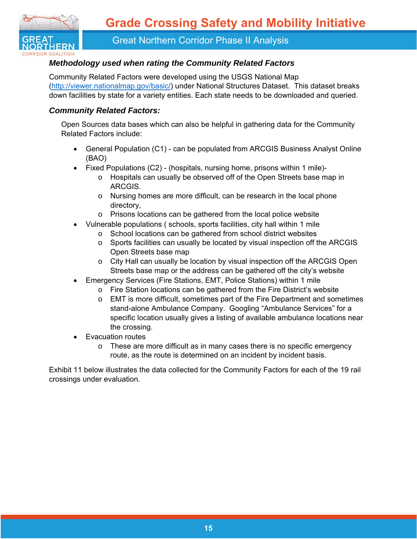

#### *Methodology used when rating the Community Related Factors*

Community Related Factors were developed using the USGS National Map (http://viewer.nationalmap.gov/basic/) under National Structures Dataset. This dataset breaks down facilities by state for a variety entities. Each state needs to be downloaded and queried.

#### *Community Related Factors:*

Open Sources data bases which can also be helpful in gathering data for the Community Related Factors include:

- General Population (C1) can be populated from ARCGIS Business Analyst Online (BAO)
- Fixed Populations (C2) (hospitals, nursing home, prisons within 1 mile)
	- o Hospitals can usually be observed off of the Open Streets base map in ARCGIS.
	- o Nursing homes are more difficult, can be research in the local phone directory,
	- o Prisons locations can be gathered from the local police website
- Vulnerable populations ( schools, sports facilities, city hall within 1 mile
	- o School locations can be gathered from school district websites
	- o Sports facilities can usually be located by visual inspection off the ARCGIS Open Streets base map
	- o City Hall can usually be location by visual inspection off the ARCGIS Open Streets base map or the address can be gathered off the city's website
- Emergency Services (Fire Stations, EMT, Police Stations) within 1 mile
	- o Fire Station locations can be gathered from the Fire District's website
	- $\circ$  EMT is more difficult, sometimes part of the Fire Department and sometimes stand-alone Ambulance Company. Googling "Ambulance Services" for a specific location usually gives a listing of available ambulance locations near the crossing.
- Evacuation routes
	- o These are more difficult as in many cases there is no specific emergency route, as the route is determined on an incident by incident basis.

Exhibit 11 below illustrates the data collected for the Community Factors for each of the 19 rail crossings under evaluation.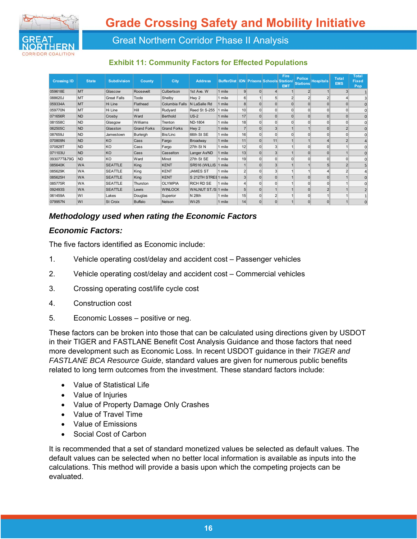

#### **Exhibit 11: Community Factors for Effected Populations**

| <b>Crossing ID</b> | <b>State</b> | <b>Subdivision</b> | <b>County</b>      | City               | <b>Address</b>       | <b>BufferDist</b> |                 |              | <b>IDN Prisons Schools Station/</b> | Fire<br><b>EMT</b> | <b>Police</b><br><b>Stations</b> | <b>Hospitals</b> | <b>Total</b><br><b>EMS</b> | <b>Total</b><br><b>Fixed</b><br>Pop |
|--------------------|--------------|--------------------|--------------------|--------------------|----------------------|-------------------|-----------------|--------------|-------------------------------------|--------------------|----------------------------------|------------------|----------------------------|-------------------------------------|
| 059618E            | <b>MT</b>    | Glascow            | Roosevelt          | Culbertson         | 1st Ave. W           | 1 mile            | $\mathbf{g}$    | $\Omega$     |                                     |                    | $\overline{2}$                   |                  | $\mathbf{3}$               |                                     |
| 088620J            | MT           | <b>Great Falls</b> | Toole              | Shelby             | Hwy 2                | 1 mile            | 6               |              | 5.                                  |                    |                                  | $\overline{2}$   | $\left 4\right $           | 3                                   |
| 059334A            | <b>MT</b>    | Hi Line            | Flathead           | Columbia Falls     | N LaSalle Rd         | 1 mile            | 8 <sup>1</sup>  | $\Omega$     |                                     |                    |                                  | $\Omega$         | $\Omega$                   | $\Omega$                            |
| 059770N            | MT           | Hi Line            | <b>Hill</b>        | Rudyard            | Reed St S-255        | 1 mile            | 10 <sup>1</sup> | $\Omega$     |                                     |                    | $\Omega$                         | $\Omega$         | $\overline{0}$             | 0                                   |
| 071656R            | <b>ND</b>    | Crosby             | Ward               | <b>Berthold</b>    | $US-2$               | 1 mile            | 17              | $\Omega$     |                                     | $\Omega$           | $\Omega$                         | $\Omega$         | $\overline{0}$             | $\Omega$                            |
| 081558C            | <b>ND</b>    | Glasgow            | Williams           | Trenton            | ND-1804              | 1 mile            | 18              | $\Omega$     |                                     |                    |                                  | $\Omega$         | $\overline{0}$             | $\overline{0}$                      |
| 062505C            | <b>ND</b>    | Glasston           | <b>Grand Forks</b> | <b>Grand Forks</b> | Hwy 2                | 1 mile            |                 | $\Omega$     |                                     |                    |                                  | $\Omega$         | $\overline{2}$             | $\overline{0}$                      |
| 087659J            | <b>ND</b>    | Jamestown          | Burleigh           | Bis/Linc           | 66th St SE           | 1 mile            | 16              | $\mathbf 0$  | $\Omega$                            | $\Omega$           | $\Omega$                         | $\Omega$         | $\overline{0}$             | $\Omega$                            |
| 070809N            | <b>ND</b>    | KO                 | Cass               | Fargo              | Broadway             | 1 mile            | 11              | $\Omega$     | 11                                  |                    |                                  | $\boldsymbol{4}$ | $\overline{2}$             |                                     |
| 070828T            | <b>ND</b>    | KO                 | Cass               | Fargo              | 27th St N            | 1 mile            | 12              | $\Omega$     | $\overline{\mathbf{3}}$             |                    | $\Omega$                         | $\Omega$         |                            | $\Omega$                            |
| 071103U            | <b>ND</b>    | KO                 | Cass               | Casselton          | Langer Av/ND         | 1 mile            | 13              | $\Omega$     | $\overline{\mathbf{3}}$             |                    | $\Omega$                         | $\Omega$         |                            | $\Omega$                            |
| 093077T&79G        | <b>ND</b>    | KO                 | Ward               | Minot              | 27th St SE           | 1 mile            | 19              | $\Omega$     | $\Omega$                            | $\Omega$           | $\Omega$                         | $\Omega$         | $\overline{0}$             | 0                                   |
| 085640K            | <b>WA</b>    | <b>SEATTLE</b>     | King               | <b>KENT</b>        | SR516 (WILLIS 1 mile |                   |                 | $\Omega$     | 3                                   |                    |                                  |                  | $\overline{2}$             | 5                                   |
| 085629K            | <b>WA</b>    | <b>SEATTLE</b>     | King               | <b>KENT</b>        | <b>JAMES ST</b>      | 1 mile            | $\overline{2}$  | $\Omega$     | $\overline{\mathbf{3}}$             |                    |                                  |                  | $\overline{2}$             |                                     |
| 085625H            | <b>WA</b>    | <b>SEATTLE</b>     | King               | <b>KENT</b>        | S 212TH STREE 1 mile |                   | $\overline{3}$  | <sup>0</sup> |                                     |                    |                                  | $\Omega$         |                            | $\Omega$                            |
| 085775R            | <b>WA</b>    | <b>SEATTLE</b>     | Thurston           | <b>OLYMPIA</b>     | <b>RICH RD SE</b>    | 1 mile            | $\vert 4 \vert$ | $\Omega$     |                                     |                    | $\Omega$                         | $\Omega$         |                            | $\Omega$                            |
| 092493S            | <b>WA</b>    | <b>SEATTLE</b>     | Lewis              | <b>WINLOCK</b>     | WALNUT ST./S 1 mile  |                   | 5 <sup>1</sup>  | $\Omega$     |                                     |                    |                                  |                  |                            |                                     |
| 061459A            | WI           | Lakes              | Douglas            | Superior           | <b>N</b> 28th        | 1 mile            | 15              | $\Omega$     |                                     |                    | $\Omega$                         |                  |                            |                                     |
| 079957N            | WI           | <b>St Croix</b>    | <b>Buffalo</b>     | Nelson             | WI-25                | 1 mile            | 14              | $\Omega$     |                                     |                    |                                  | $\Omega$         |                            | $\Omega$                            |

### *Methodology used when rating the Economic Factors*

#### *Economic Factors:*

The five factors identified as Economic include:

- 1. Vehicle operating cost/delay and accident cost Passenger vehicles
- 2. Vehicle operating cost/delay and accident cost Commercial vehicles
- 3. Crossing operating cost/life cycle cost
- 4. Construction cost
- 5. Economic Losses positive or neg.

These factors can be broken into those that can be calculated using directions given by USDOT in their TIGER and FASTLANE Benefit Cost Analysis Guidance and those factors that need more development such as Economic Loss. In recent USDOT guidance in their *TIGER and FASTLANE BCA Resource Guide*, standard values are given for numerous public benefits related to long term outcomes from the investment. These standard factors include:

- Value of Statistical Life
- Value of Injuries
- Value of Property Damage Only Crashes
- Value of Travel Time
- Value of Emissions
- Social Cost of Carbon

It is recommended that a set of standard monetized values be selected as default values. The default values can be selected when no better local information is available as inputs into the calculations. This method will provide a basis upon which the competing projects can be evaluated.